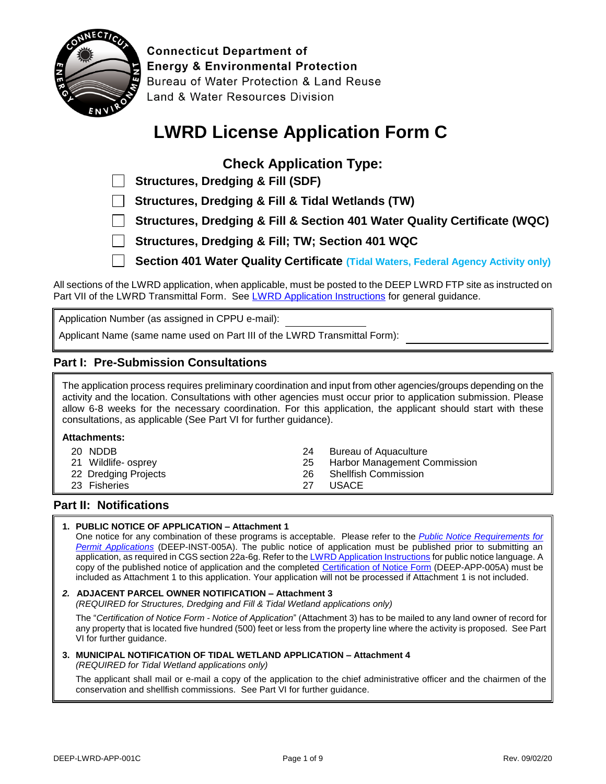

**Connecticut Department of Energy & Environmental Protection** Bureau of Water Protection & Land Reuse Land & Water Resources Division

# **LWRD License Application Form C**

## **Check Application Type:**

 **Structures, Dredging & Fill & Tidal Wetlands (TW)**

- **Structures, Dredging & Fill & Section 401 Water Quality Certificate (WQC)**
- **Structures, Dredging & Fill; TW; Section 401 WQC**

**Section 401 Water Quality Certificate (Tidal Waters, Federal Agency Activity only)** 

All sections of the LWRD application, when applicable, must be posted to the DEEP LWRD FTP site as instructed on Part VII of the LWRD Transmittal Form. Se[e LWRD Application Instructions](https://portal.ct.gov/-/media/DEEP/Permits_and_Licenses/Land_Use_Permits/LWRD/LWRDinstpdf.pdf?la=en) for general guidance.

Application Number (as assigned in CPPU e-mail):

Applicant Name (same name used on Part III of the LWRD Transmittal Form):

### **Part I: Pre-Submission Consultations**

The application process requires preliminary coordination and input from other agencies/groups depending on the activity and the location. Consultations with other agencies must occur prior to application submission. Please allow 6-8 weeks for the necessary coordination. For this application, the applicant should start with these consultations, as applicable (See Part VI for further guidance).

#### **Attachments:**

| 20 NDDB              | -24 | Bureau of Aguaculture           |
|----------------------|-----|---------------------------------|
| 21 Wildlife- osprey  |     | 25 Harbor Management Commission |
| 22 Dredging Projects |     | 26 Shellfish Commission         |
| 23 Fisheries         | 27. | <b>USACE</b>                    |

### **Part II: Notifications**

#### **1. PUBLIC NOTICE OF APPLICATION – Attachment 1**

One notice for any combination of these programs is acceptable. Please refer to the *[Public Notice Requirements for](https://portal.ct.gov/-/media/DEEP/Permits_and_Licenses/Common_Forms/publicnoticeinstpdf.pdf?la=en) [Permit Applications](https://portal.ct.gov/-/media/DEEP/Permits_and_Licenses/Common_Forms/publicnoticeinstpdf.pdf?la=en)* (DEEP-INST-005A). The public notice of application must be published prior to submitting an application, as required in CGS section 22a-6g. Refer to th[e LWRD Application Instructions](https://portal.ct.gov/-/media/DEEP/Permits_and_Licenses/Land_Use_Permits/LWRD/LWRDinstpdf#page=2.pdf?la=en) for public notice language. A copy of the published notice of application and the completed [Certification of Notice Form](https://portal.ct.gov/DEEP/Permits-and-Licenses/Common-Forms#CertificationofNotice) (DEEP-APP-005A) must be included as Attachment 1 to this application. Your application will not be processed if Attachment 1 is not included.

#### *2.* **ADJACENT PARCEL OWNER NOTIFICATION – Attachment 3**

*(REQUIRED for Structures, Dredging and Fill & Tidal Wetland applications only)*

The "*[Certification of Notice Form](http://www.ct.gov/deep/cwp/view.asp?a=2709&q=324218&deepNav_GID=1643#CertificationofNotice) - Notice of Application*" (Attachment 3) has to be mailed to any land owner of record for any property that is located five hundred (500) feet or less from the property line where the activity is proposed. See Part VI for further guidance.

### **3. MUNICIPAL NOTIFICATION OF TIDAL WETLAND APPLICATION – Attachment 4**

*(REQUIRED for Tidal Wetland applications only)*

The applicant shall mail or e-mail a copy of the application to the chief administrative officer and the chairmen of the conservation and shellfish commissions. See Part VI for further guidance.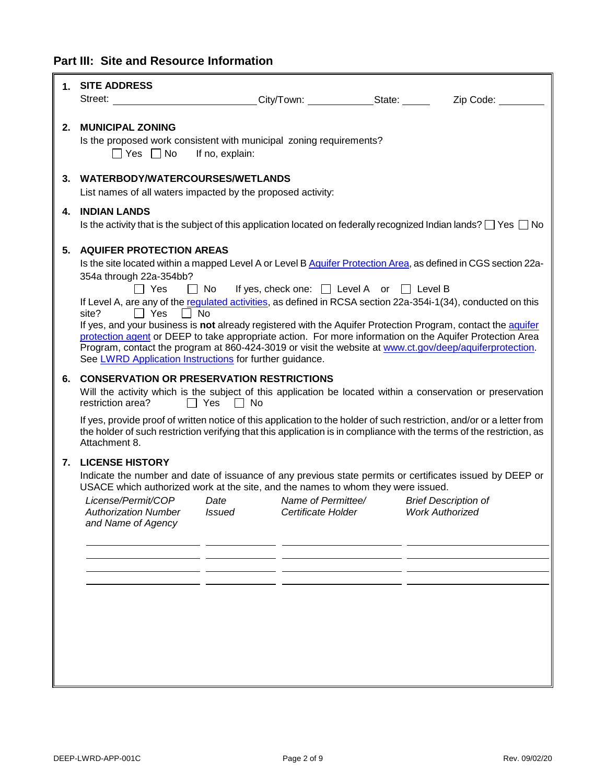## **Part III: Site and Resource Information**

|    | 1. SITE ADDRESS                                                                                        |                      |                    |                                                                          |                                                                                                                                                                                                                                                 |
|----|--------------------------------------------------------------------------------------------------------|----------------------|--------------------|--------------------------------------------------------------------------|-------------------------------------------------------------------------------------------------------------------------------------------------------------------------------------------------------------------------------------------------|
|    | Street: ____________________________City/Town: _____________State: ______                              |                      |                    |                                                                          | Zip Code:                                                                                                                                                                                                                                       |
|    |                                                                                                        |                      |                    |                                                                          |                                                                                                                                                                                                                                                 |
| 2. | <b>MUNICIPAL ZONING</b>                                                                                |                      |                    |                                                                          |                                                                                                                                                                                                                                                 |
|    | Is the proposed work consistent with municipal zoning requirements?<br>$\Box$ Yes $\Box$ No            | If no, explain:      |                    |                                                                          |                                                                                                                                                                                                                                                 |
|    | 3. WATERBODY/WATERCOURSES/WETLANDS                                                                     |                      |                    |                                                                          |                                                                                                                                                                                                                                                 |
|    | List names of all waters impacted by the proposed activity:                                            |                      |                    |                                                                          |                                                                                                                                                                                                                                                 |
|    | 4. INDIAN LANDS                                                                                        |                      |                    |                                                                          |                                                                                                                                                                                                                                                 |
|    |                                                                                                        |                      |                    |                                                                          | Is the activity that is the subject of this application located on federally recognized Indian lands? $\Box$ Yes $\Box$ No                                                                                                                      |
| 5. | <b>AQUIFER PROTECTION AREAS</b>                                                                        |                      |                    |                                                                          |                                                                                                                                                                                                                                                 |
|    |                                                                                                        |                      |                    |                                                                          | Is the site located within a mapped Level A or Level B Aquifer Protection Area, as defined in CGS section 22a-                                                                                                                                  |
|    | 354a through 22a-354bb?                                                                                |                      |                    | $\Box$ Yes $\Box$ No If yes, check one: $\Box$ Level A or $\Box$ Level B |                                                                                                                                                                                                                                                 |
|    |                                                                                                        |                      |                    |                                                                          | If Level A, are any of the regulated activities, as defined in RCSA section 22a-354i-1(34), conducted on this                                                                                                                                   |
|    | $\Box$ Yes $\Box$ No<br>site?                                                                          |                      |                    |                                                                          |                                                                                                                                                                                                                                                 |
|    |                                                                                                        |                      |                    |                                                                          | If yes, and your business is not already registered with the Aquifer Protection Program, contact the aquifer<br>protection agent or DEEP to take appropriate action. For more information on the Aquifer Protection Area                        |
|    |                                                                                                        |                      |                    |                                                                          | Program, contact the program at 860-424-3019 or visit the website at www.ct.gov/deep/aquiferprotection.                                                                                                                                         |
|    | See LWRD Application Instructions for further guidance.                                                |                      |                    |                                                                          |                                                                                                                                                                                                                                                 |
| 6. | <b>CONSERVATION OR PRESERVATION RESTRICTIONS</b>                                                       |                      |                    |                                                                          |                                                                                                                                                                                                                                                 |
|    | restriction area?                                                                                      | $\Box$ Yes $\Box$ No |                    |                                                                          | Will the activity which is the subject of this application be located within a conservation or preservation                                                                                                                                     |
|    | Attachment 8.                                                                                          |                      |                    |                                                                          | If yes, provide proof of written notice of this application to the holder of such restriction, and/or or a letter from<br>the holder of such restriction verifying that this application is in compliance with the terms of the restriction, as |
|    | <b>7. LICENSE HISTORY</b>                                                                              |                      |                    |                                                                          |                                                                                                                                                                                                                                                 |
|    |                                                                                                        |                      |                    |                                                                          | Indicate the number and date of issuance of any previous state permits or certificates issued by DEEP or                                                                                                                                        |
|    | USACE which authorized work at the site, and the names to whom they were issued.<br>License/Permit/COP | Date                 | Name of Permittee/ |                                                                          | <b>Brief Description of</b>                                                                                                                                                                                                                     |
|    | <b>Authorization Number</b>                                                                            | <i><b>Issued</b></i> |                    | Certificate Holder Work Authorized                                       |                                                                                                                                                                                                                                                 |
|    | and Name of Agency                                                                                     |                      |                    |                                                                          |                                                                                                                                                                                                                                                 |
|    |                                                                                                        |                      |                    |                                                                          |                                                                                                                                                                                                                                                 |
|    |                                                                                                        |                      |                    |                                                                          |                                                                                                                                                                                                                                                 |
|    |                                                                                                        |                      |                    |                                                                          |                                                                                                                                                                                                                                                 |
|    |                                                                                                        |                      |                    |                                                                          |                                                                                                                                                                                                                                                 |
|    |                                                                                                        |                      |                    |                                                                          |                                                                                                                                                                                                                                                 |
|    |                                                                                                        |                      |                    |                                                                          |                                                                                                                                                                                                                                                 |
|    |                                                                                                        |                      |                    |                                                                          |                                                                                                                                                                                                                                                 |
|    |                                                                                                        |                      |                    |                                                                          |                                                                                                                                                                                                                                                 |
|    |                                                                                                        |                      |                    |                                                                          |                                                                                                                                                                                                                                                 |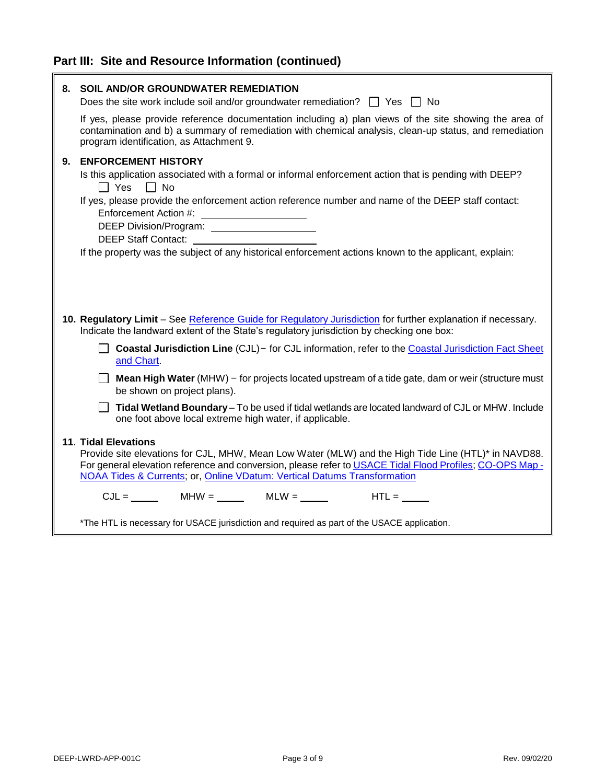## **Part III: Site and Resource Information (continued)**

| 8. | SOIL AND/OR GROUNDWATER REMEDIATION<br>Does the site work include soil and/or groundwater remediation? $\Box$ Yes $\Box$ No                                                                                                                                                                                                                                                                                                                                                                       |  |  |
|----|---------------------------------------------------------------------------------------------------------------------------------------------------------------------------------------------------------------------------------------------------------------------------------------------------------------------------------------------------------------------------------------------------------------------------------------------------------------------------------------------------|--|--|
|    | If yes, please provide reference documentation including a) plan views of the site showing the area of<br>contamination and b) a summary of remediation with chemical analysis, clean-up status, and remediation<br>program identification, as Attachment 9.                                                                                                                                                                                                                                      |  |  |
| 9. | <b>ENFORCEMENT HISTORY</b><br>Is this application associated with a formal or informal enforcement action that is pending with DEEP?<br>$\Box$ Yes $\Box$ No<br>If yes, please provide the enforcement action reference number and name of the DEEP staff contact:<br>Enforcement Action #:<br>DEEP Division/Program: ______________________<br>DEEP Staff Contact: <b>Example 2014</b><br>If the property was the subject of any historical enforcement actions known to the applicant, explain: |  |  |
|    | 10. Regulatory Limit - See Reference Guide for Regulatory Jurisdiction for further explanation if necessary.<br>Indicate the landward extent of the State's regulatory jurisdiction by checking one box:                                                                                                                                                                                                                                                                                          |  |  |
|    | Coastal Jurisdiction Line (CJL) - for CJL information, refer to the Coastal Jurisdiction Fact Sheet<br>and Chart.                                                                                                                                                                                                                                                                                                                                                                                 |  |  |
|    | Mean High Water (MHW) - for projects located upstream of a tide gate, dam or weir (structure must<br>$\Box$<br>be shown on project plans).                                                                                                                                                                                                                                                                                                                                                        |  |  |
|    | Tidal Wetland Boundary - To be used if tidal wetlands are located landward of CJL or MHW. Include<br>one foot above local extreme high water, if applicable.                                                                                                                                                                                                                                                                                                                                      |  |  |
|    | <b>11. Tidal Elevations</b><br>Provide site elevations for CJL, MHW, Mean Low Water (MLW) and the High Tide Line (HTL)* in NAVD88.<br>For general elevation reference and conversion, please refer to USACE Tidal Flood Profiles; CO-OPS Map -<br>NOAA Tides & Currents; or, Online VDatum: Vertical Datums Transformation                                                                                                                                                                        |  |  |
|    | $CJL = \_\_\_\_\_\_$ MHW = $\_\_\_\_\_\_$ MLW = $\_\_\_\_\_\_$ HTL = $\_\_\_\_\_\_$                                                                                                                                                                                                                                                                                                                                                                                                               |  |  |
|    | *The HTL is necessary for USACE jurisdiction and required as part of the USACE application.                                                                                                                                                                                                                                                                                                                                                                                                       |  |  |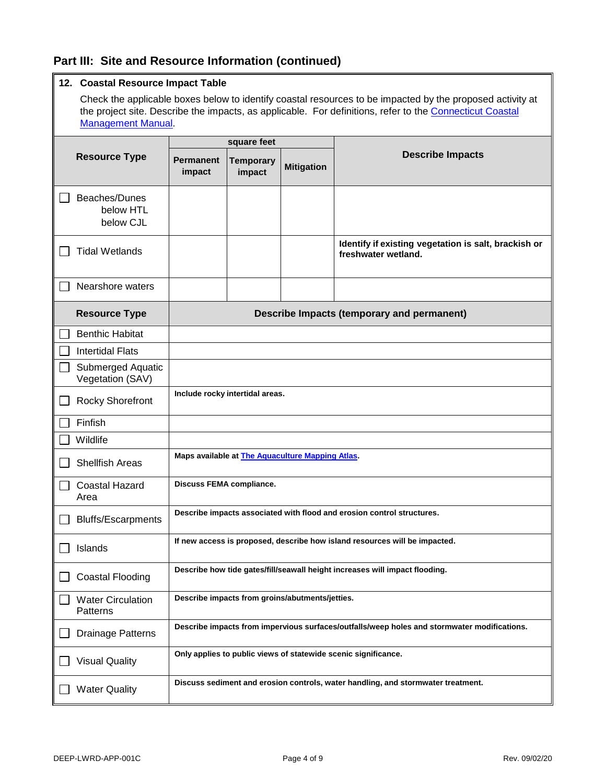### **Part III: Site and Resource Information (continued)**

|  |  | 12. Coastal Resource Impact Table |  |  |
|--|--|-----------------------------------|--|--|
|--|--|-----------------------------------|--|--|

Check the applicable boxes below to identify coastal resources to be impacted by the proposed activity at the project site. Describe the impacts, as applicable. For definitions, refer to the [Connecticut Coastal](https://portal.ct.gov/DEEP/Coastal-Resources/Coastal-Management/Connecticut-Coastal-Management-Manual) [Management Manual.](https://portal.ct.gov/DEEP/Coastal-Resources/Coastal-Management/Connecticut-Coastal-Management-Manual)

| <b>Resource Type</b> |                                         | square feet                                                                                 |                            |                   |                                                                             |
|----------------------|-----------------------------------------|---------------------------------------------------------------------------------------------|----------------------------|-------------------|-----------------------------------------------------------------------------|
|                      |                                         | <b>Permanent</b><br>impact                                                                  | <b>Temporary</b><br>impact | <b>Mitigation</b> | <b>Describe Impacts</b>                                                     |
|                      | Beaches/Dunes<br>below HTL<br>below CJL |                                                                                             |                            |                   |                                                                             |
|                      | <b>Tidal Wetlands</b>                   |                                                                                             |                            |                   | Identify if existing vegetation is salt, brackish or<br>freshwater wetland. |
|                      | Nearshore waters                        |                                                                                             |                            |                   |                                                                             |
|                      | <b>Resource Type</b>                    |                                                                                             |                            |                   | <b>Describe Impacts (temporary and permanent)</b>                           |
|                      | <b>Benthic Habitat</b>                  |                                                                                             |                            |                   |                                                                             |
|                      | <b>Intertidal Flats</b>                 |                                                                                             |                            |                   |                                                                             |
|                      | Submerged Aquatic<br>Vegetation (SAV)   |                                                                                             |                            |                   |                                                                             |
|                      | <b>Rocky Shorefront</b>                 | Include rocky intertidal areas.                                                             |                            |                   |                                                                             |
|                      | Finfish                                 |                                                                                             |                            |                   |                                                                             |
|                      | Wildlife                                |                                                                                             |                            |                   |                                                                             |
|                      | <b>Shellfish Areas</b>                  | Maps available at <b>The Aquaculture Mapping Atlas</b> .                                    |                            |                   |                                                                             |
|                      | <b>Coastal Hazard</b><br>Area           | <b>Discuss FEMA compliance.</b>                                                             |                            |                   |                                                                             |
|                      | <b>Bluffs/Escarpments</b>               | Describe impacts associated with flood and erosion control structures.                      |                            |                   |                                                                             |
|                      | Islands                                 | If new access is proposed, describe how island resources will be impacted.                  |                            |                   |                                                                             |
|                      | Coastal Flooding                        | Describe how tide gates/fill/seawall height increases will impact flooding.                 |                            |                   |                                                                             |
|                      | <b>Water Circulation</b><br>Patterns    | Describe impacts from groins/abutments/jetties.                                             |                            |                   |                                                                             |
|                      | Drainage Patterns                       | Describe impacts from impervious surfaces/outfalls/weep holes and stormwater modifications. |                            |                   |                                                                             |
|                      | <b>Visual Quality</b>                   | Only applies to public views of statewide scenic significance.                              |                            |                   |                                                                             |
|                      | <b>Water Quality</b>                    | Discuss sediment and erosion controls, water handling, and stormwater treatment.            |                            |                   |                                                                             |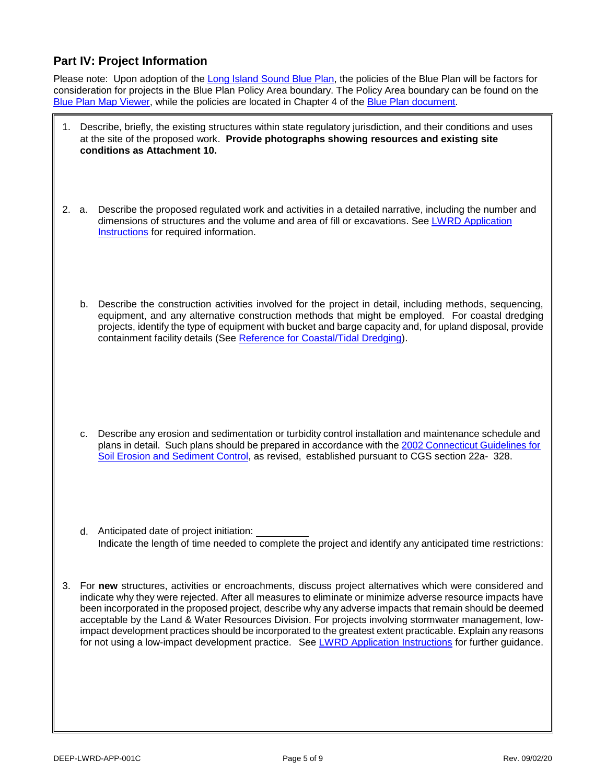### **Part IV: Project Information**

Please note: Upon adoption of th[e Long Island Sound Blue Plan,](http://www.ct.gov/deep/lisblueplan) the policies of the Blue Plan will be factors for consideration for projects in the Blue Plan Policy Area boundary. The Policy Area boundary can be found on the [Blue Plan Map Viewer,](http://cteco.uconn.edu/projects/blueplan/index.htm) while the policies are located in Chapter 4 of the [Blue Plan document.](https://portal.ct.gov/-/media/DEEP/coastal-resources/LIS_blue_plan/blueplanfinaldraftversion12september2019pdf#page=137.pdf?la=en)

- 1. Describe, briefly, the existing structures within state regulatory jurisdiction, and their conditions and uses at the site of the proposed work. **Provide photographs showing resources and existing site conditions as Attachment 10.**
- 2. a. Describe the proposed regulated work and activities in a detailed narrative, including the number and dimensions of structures and the volume and area of fill or excavations. See [LWRD Application](https://portal.ct.gov/-/media/DEEP/Permits_and_Licenses/Land_Use_Permits/LWRD/LWRDinstpdf#Page=4.pdf?la=en)  [Instructions](https://portal.ct.gov/-/media/DEEP/Permits_and_Licenses/Land_Use_Permits/LWRD/LWRDinstpdf#Page=4.pdf?la=en) for required information.
	- b. Describe the construction activities involved for the project in detail, including methods, sequencing, equipment, and any alternative construction methods that might be employed. For coastal dredging projects, identify the type of equipment with bucket and barge capacity and, for upland disposal, provide containment facility details (See [Reference for Coastal/Tidal Dredging\)](https://portal.ct.gov/-/media/DEEP/Permits_and_Licenses/Land_Use_Permits/LWRD/referencedredgingpdf.pdf?la=en).

- c. Describe any erosion and sedimentation or turbidity control installation and maintenance schedule and plans in detail. Such plans should be prepared in accordance with th[e 2002 Connecticut Guidelines for](https://portal.ct.gov/DEEP/Water/Soil-Erosion-and-Sediment-Control-Guidelines/Guidelines-for-Soil-Erosion-and-Sediment-Control) [Soil Erosion and Sediment Control,](https://portal.ct.gov/DEEP/Water/Soil-Erosion-and-Sediment-Control-Guidelines/Guidelines-for-Soil-Erosion-and-Sediment-Control) as revised, established pursuant to CGS section 22a- 328.
- d. Anticipated date of project initiation: Indicate the length of time needed to complete the project and identify any anticipated time restrictions:
- 3. For **new** structures, activities or encroachments, discuss project alternatives which were considered and indicate why they were rejected. After all measures to eliminate or minimize adverse resource impacts have been incorporated in the proposed project, describe why any adverse impacts that remain should be deemed acceptable by the Land & Water Resources Division. For projects involving stormwater management, lowimpact development practices should be incorporated to the greatest extent practicable. Explain any reasons for not using a low-impact development practice. See [LWRD Application Instructions](https://portal.ct.gov/-/media/DEEP/Permits_and_Licenses/Land_Use_Permits/LWRD/LWRDinstpdf#Page=5.pdf?la=en) for further guidance.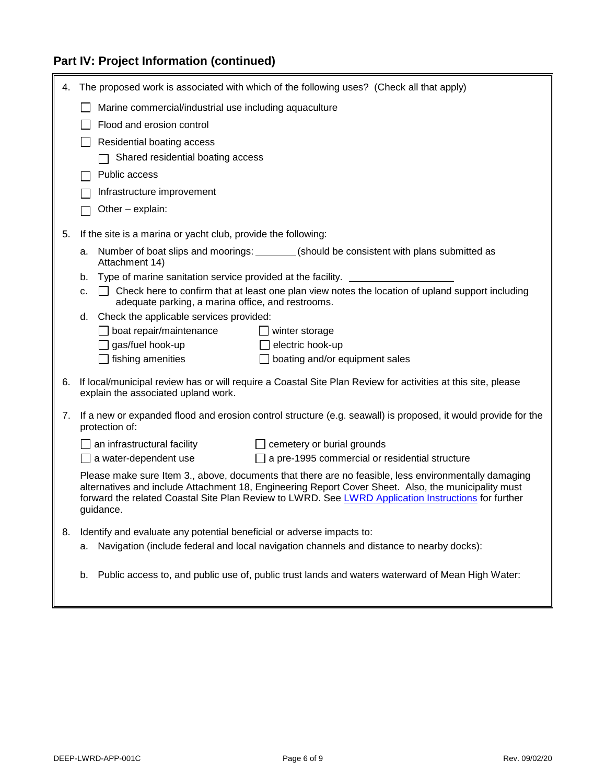## **Part IV: Project Information (continued)**

| 4. | The proposed work is associated with which of the following uses? (Check all that apply)                                                                                                                                                                                                                                        |  |  |
|----|---------------------------------------------------------------------------------------------------------------------------------------------------------------------------------------------------------------------------------------------------------------------------------------------------------------------------------|--|--|
|    | Marine commercial/industrial use including aquaculture                                                                                                                                                                                                                                                                          |  |  |
|    | Flood and erosion control                                                                                                                                                                                                                                                                                                       |  |  |
|    | Residential boating access                                                                                                                                                                                                                                                                                                      |  |  |
|    | Shared residential boating access                                                                                                                                                                                                                                                                                               |  |  |
|    | Public access                                                                                                                                                                                                                                                                                                                   |  |  |
|    | Infrastructure improvement                                                                                                                                                                                                                                                                                                      |  |  |
|    | Other - explain:                                                                                                                                                                                                                                                                                                                |  |  |
| 5. | If the site is a marina or yacht club, provide the following:                                                                                                                                                                                                                                                                   |  |  |
|    | Number of boat slips and moorings: ________(should be consistent with plans submitted as<br>а.<br>Attachment 14)                                                                                                                                                                                                                |  |  |
|    | Type of marine sanitation service provided at the facility.<br>b.                                                                                                                                                                                                                                                               |  |  |
|    | □ Check here to confirm that at least one plan view notes the location of upland support including<br>c.<br>adequate parking, a marina office, and restrooms.                                                                                                                                                                   |  |  |
|    | Check the applicable services provided:<br>d.                                                                                                                                                                                                                                                                                   |  |  |
|    | $\Box$ boat repair/maintenance<br>winter storage<br>$\Box$ gas/fuel hook-up                                                                                                                                                                                                                                                     |  |  |
|    | electric hook-up<br>fishing amenities<br>boating and/or equipment sales                                                                                                                                                                                                                                                         |  |  |
|    |                                                                                                                                                                                                                                                                                                                                 |  |  |
| 6. | If local/municipal review has or will require a Coastal Site Plan Review for activities at this site, please<br>explain the associated upland work.                                                                                                                                                                             |  |  |
| 7. | If a new or expanded flood and erosion control structure (e.g. seawall) is proposed, it would provide for the<br>protection of:                                                                                                                                                                                                 |  |  |
|    | an infrastructural facility<br>$\Box$ cemetery or burial grounds                                                                                                                                                                                                                                                                |  |  |
|    | $\Box$ a water-dependent use<br>$\Box$ a pre-1995 commercial or residential structure                                                                                                                                                                                                                                           |  |  |
|    | Please make sure Item 3., above, documents that there are no feasible, less environmentally damaging<br>alternatives and include Attachment 18, Engineering Report Cover Sheet. Also, the municipality must<br>forward the related Coastal Site Plan Review to LWRD. See LWRD Application Instructions for further<br>guidance. |  |  |
| 8. | Identify and evaluate any potential beneficial or adverse impacts to:                                                                                                                                                                                                                                                           |  |  |
|    | Navigation (include federal and local navigation channels and distance to nearby docks):<br>a.                                                                                                                                                                                                                                  |  |  |
|    | Public access to, and public use of, public trust lands and waters waterward of Mean High Water:<br>b.                                                                                                                                                                                                                          |  |  |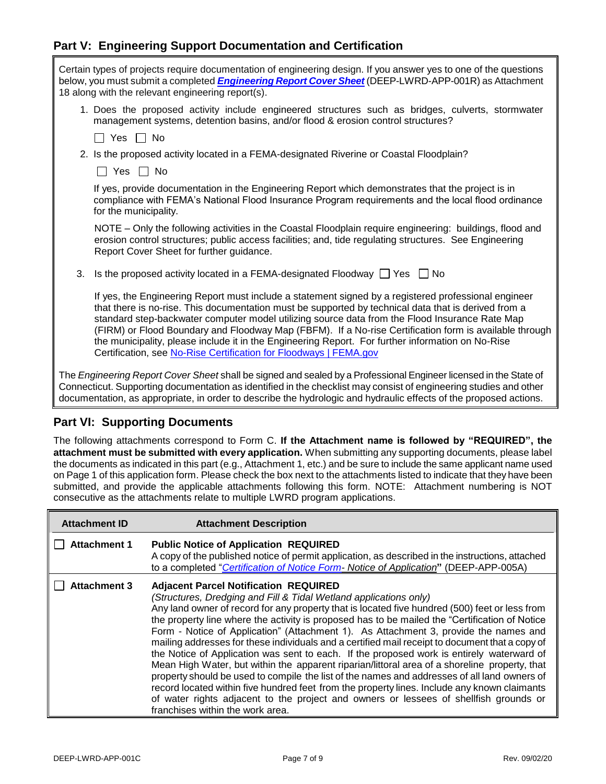### **Part V: Engineering Support Documentation and Certification**

| Certain types of projects require documentation of engineering design. If you answer yes to one of the questions<br>below, you must submit a completed <i>Engineering Report Cover Sheet</i> (DEEP-LWRD-APP-001R) as Attachment<br>18 along with the relevant engineering report(s).                                                                                                                                                                                                                                                                                                               |
|----------------------------------------------------------------------------------------------------------------------------------------------------------------------------------------------------------------------------------------------------------------------------------------------------------------------------------------------------------------------------------------------------------------------------------------------------------------------------------------------------------------------------------------------------------------------------------------------------|
| 1. Does the proposed activity include engineered structures such as bridges, culverts, stormwater<br>management systems, detention basins, and/or flood & erosion control structures?                                                                                                                                                                                                                                                                                                                                                                                                              |
| $\Box$ Yes $\Box$ No                                                                                                                                                                                                                                                                                                                                                                                                                                                                                                                                                                               |
| 2. Is the proposed activity located in a FEMA-designated Riverine or Coastal Floodplain?                                                                                                                                                                                                                                                                                                                                                                                                                                                                                                           |
| Yes $\Box$ No                                                                                                                                                                                                                                                                                                                                                                                                                                                                                                                                                                                      |
| If yes, provide documentation in the Engineering Report which demonstrates that the project is in<br>compliance with FEMA's National Flood Insurance Program requirements and the local flood ordinance<br>for the municipality.                                                                                                                                                                                                                                                                                                                                                                   |
| NOTE - Only the following activities in the Coastal Floodplain require engineering: buildings, flood and<br>erosion control structures; public access facilities; and, tide regulating structures. See Engineering<br>Report Cover Sheet for further guidance.                                                                                                                                                                                                                                                                                                                                     |
| 3.<br>Is the proposed activity located in a FEMA-designated Floodway $\Box$ Yes $\Box$ No                                                                                                                                                                                                                                                                                                                                                                                                                                                                                                          |
| If yes, the Engineering Report must include a statement signed by a registered professional engineer<br>that there is no-rise. This documentation must be supported by technical data that is derived from a<br>standard step-backwater computer model utilizing source data from the Flood Insurance Rate Map<br>(FIRM) or Flood Boundary and Floodway Map (FBFM). If a No-rise Certification form is available through<br>the municipality, please include it in the Engineering Report. For further information on No-Rise<br>Certification, see No-Rise Certification for Floodways   FEMA.gov |
| The Engineering Report Cover Sheet shall be signed and sealed by a Professional Engineer licensed in the State of<br>Connecticut. Supporting documentation as identified in the checklist may consist of engineering studies and other<br>documentation, as appropriate, in order to describe the hydrologic and hydraulic effects of the proposed actions.                                                                                                                                                                                                                                        |

### **Part VI: Supporting Documents**

The following attachments correspond to Form C. **If the Attachment name is followed by "REQUIRED", the attachment must be submitted with every application.** When submitting any supporting documents, please label the documents as indicated in this part (e.g., Attachment 1, etc.) and be sure to include the same applicant name used on Page 1 of this application form. Please check the box next to the attachments listed to indicate that they have been submitted, and provide the applicable attachments following this form. NOTE: Attachment numbering is NOT consecutive as the attachments relate to multiple LWRD program applications.

| <b>Attachment ID</b> | <b>Attachment Description</b>                                                                                                                                                                                                                                                                                                                                                                                                                                                                                                                                                                                                                                                                                                                                                                                                                                                                                                                                                                                                               |
|----------------------|---------------------------------------------------------------------------------------------------------------------------------------------------------------------------------------------------------------------------------------------------------------------------------------------------------------------------------------------------------------------------------------------------------------------------------------------------------------------------------------------------------------------------------------------------------------------------------------------------------------------------------------------------------------------------------------------------------------------------------------------------------------------------------------------------------------------------------------------------------------------------------------------------------------------------------------------------------------------------------------------------------------------------------------------|
| <b>Attachment 1</b>  | <b>Public Notice of Application REQUIRED</b><br>A copy of the published notice of permit application, as described in the instructions, attached<br>to a completed "Certification of Notice Form- Notice of Application" (DEEP-APP-005A)                                                                                                                                                                                                                                                                                                                                                                                                                                                                                                                                                                                                                                                                                                                                                                                                    |
| <b>Attachment 3</b>  | <b>Adjacent Parcel Notification REQUIRED</b><br>(Structures, Dredging and Fill & Tidal Wetland applications only)<br>Any land owner of record for any property that is located five hundred (500) feet or less from<br>the property line where the activity is proposed has to be mailed the "Certification of Notice<br>Form - Notice of Application" (Attachment 1). As Attachment 3, provide the names and<br>mailing addresses for these individuals and a certified mail receipt to document that a copy of<br>the Notice of Application was sent to each. If the proposed work is entirely waterward of<br>Mean High Water, but within the apparent riparian/littoral area of a shoreline property, that<br>property should be used to compile the list of the names and addresses of all land owners of<br>record located within five hundred feet from the property lines. Include any known claimants<br>of water rights adjacent to the project and owners or lessees of shellfish grounds or<br>franchises within the work area. |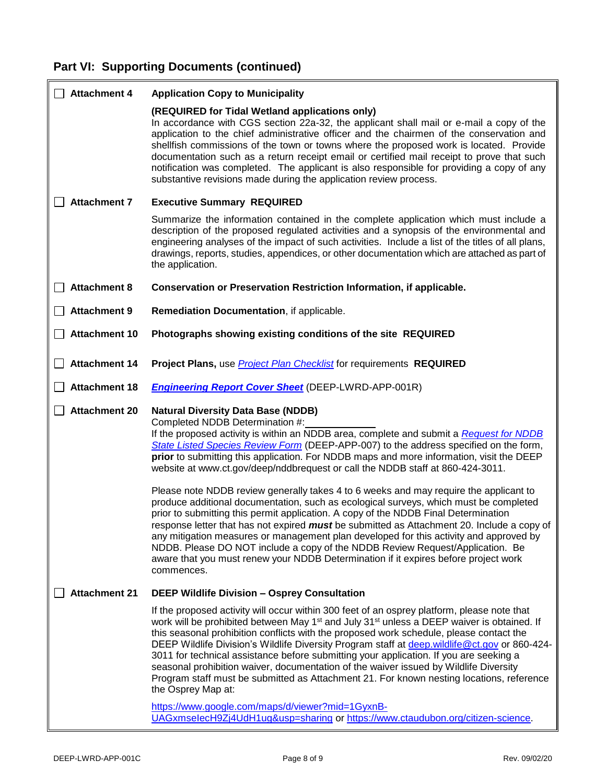## **Part VI: Supporting Documents (continued)**

| <b>Attachment 4</b>  | <b>Application Copy to Municipality</b>                                                                                                                                                                                                                                                                                                                                                                                                                                                                                                                                                                                                                                                                                                                                                                                                                                                                                                                                                                                                                                                               |
|----------------------|-------------------------------------------------------------------------------------------------------------------------------------------------------------------------------------------------------------------------------------------------------------------------------------------------------------------------------------------------------------------------------------------------------------------------------------------------------------------------------------------------------------------------------------------------------------------------------------------------------------------------------------------------------------------------------------------------------------------------------------------------------------------------------------------------------------------------------------------------------------------------------------------------------------------------------------------------------------------------------------------------------------------------------------------------------------------------------------------------------|
|                      | (REQUIRED for Tidal Wetland applications only)<br>In accordance with CGS section 22a-32, the applicant shall mail or e-mail a copy of the<br>application to the chief administrative officer and the chairmen of the conservation and<br>shellfish commissions of the town or towns where the proposed work is located. Provide<br>documentation such as a return receipt email or certified mail receipt to prove that such<br>notification was completed. The applicant is also responsible for providing a copy of any<br>substantive revisions made during the application review process.                                                                                                                                                                                                                                                                                                                                                                                                                                                                                                        |
| <b>Attachment 7</b>  | <b>Executive Summary REQUIRED</b>                                                                                                                                                                                                                                                                                                                                                                                                                                                                                                                                                                                                                                                                                                                                                                                                                                                                                                                                                                                                                                                                     |
|                      | Summarize the information contained in the complete application which must include a<br>description of the proposed regulated activities and a synopsis of the environmental and<br>engineering analyses of the impact of such activities. Include a list of the titles of all plans,<br>drawings, reports, studies, appendices, or other documentation which are attached as part of<br>the application.                                                                                                                                                                                                                                                                                                                                                                                                                                                                                                                                                                                                                                                                                             |
| <b>Attachment 8</b>  | Conservation or Preservation Restriction Information, if applicable.                                                                                                                                                                                                                                                                                                                                                                                                                                                                                                                                                                                                                                                                                                                                                                                                                                                                                                                                                                                                                                  |
| <b>Attachment 9</b>  | Remediation Documentation, if applicable.                                                                                                                                                                                                                                                                                                                                                                                                                                                                                                                                                                                                                                                                                                                                                                                                                                                                                                                                                                                                                                                             |
| <b>Attachment 10</b> | Photographs showing existing conditions of the site REQUIRED                                                                                                                                                                                                                                                                                                                                                                                                                                                                                                                                                                                                                                                                                                                                                                                                                                                                                                                                                                                                                                          |
| <b>Attachment 14</b> | Project Plans, use <b>Project Plan Checklist</b> for requirements REQUIRED                                                                                                                                                                                                                                                                                                                                                                                                                                                                                                                                                                                                                                                                                                                                                                                                                                                                                                                                                                                                                            |
| <b>Attachment 18</b> | <b>Engineering Report Cover Sheet (DEEP-LWRD-APP-001R)</b>                                                                                                                                                                                                                                                                                                                                                                                                                                                                                                                                                                                                                                                                                                                                                                                                                                                                                                                                                                                                                                            |
| <b>Attachment 20</b> | <b>Natural Diversity Data Base (NDDB)</b><br>Completed NDDB Determination #:<br>If the proposed activity is within an NDDB area, complete and submit a Request for NDDB<br>State Listed Species Review Form (DEEP-APP-007) to the address specified on the form,<br>prior to submitting this application. For NDDB maps and more information, visit the DEEP<br>website at www.ct.gov/deep/nddbrequest or call the NDDB staff at 860-424-3011.<br>Please note NDDB review generally takes 4 to 6 weeks and may require the applicant to<br>produce additional documentation, such as ecological surveys, which must be completed<br>prior to submitting this permit application. A copy of the NDDB Final Determination<br>response letter that has not expired must be submitted as Attachment 20. Include a copy of<br>any mitigation measures or management plan developed for this activity and approved by<br>NDDB. Please DO NOT include a copy of the NDDB Review Request/Application. Be<br>aware that you must renew your NDDB Determination if it expires before project work<br>commences. |
| <b>Attachment 21</b> | DEEP Wildlife Division - Osprey Consultation                                                                                                                                                                                                                                                                                                                                                                                                                                                                                                                                                                                                                                                                                                                                                                                                                                                                                                                                                                                                                                                          |
|                      | If the proposed activity will occur within 300 feet of an osprey platform, please note that<br>work will be prohibited between May 1 <sup>st</sup> and July 31 <sup>st</sup> unless a DEEP waiver is obtained. If<br>this seasonal prohibition conflicts with the proposed work schedule, please contact the<br>DEEP Wildlife Division's Wildlife Diversity Program staff at deep.wildlife@ct.gov or 860-424-<br>3011 for technical assistance before submitting your application. If you are seeking a<br>seasonal prohibition waiver, documentation of the waiver issued by Wildlife Diversity<br>Program staff must be submitted as Attachment 21. For known nesting locations, reference<br>the Osprey Map at:                                                                                                                                                                                                                                                                                                                                                                                    |
|                      | https://www.google.com/maps/d/viewer?mid=1GyxnB-<br>UAGxmselecH9Zj4UdH1ug&usp=sharing or https://www.ctaudubon.org/citizen-science.                                                                                                                                                                                                                                                                                                                                                                                                                                                                                                                                                                                                                                                                                                                                                                                                                                                                                                                                                                   |